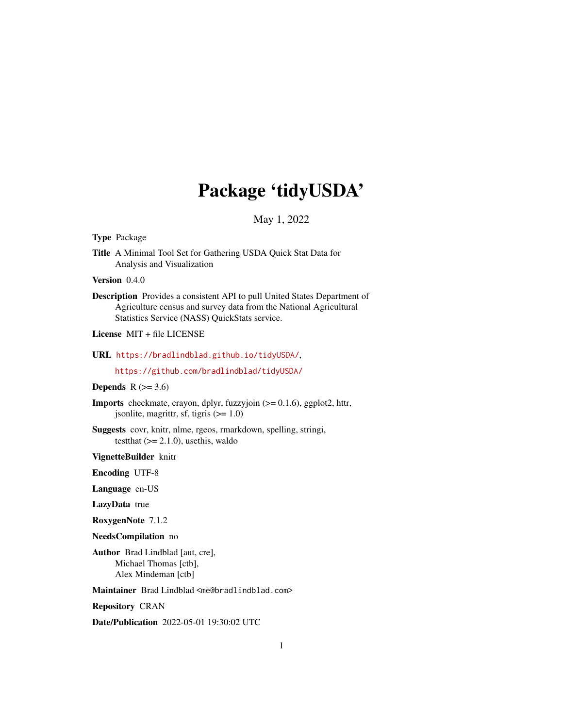# Package 'tidyUSDA'

## May 1, 2022

Type Package

Title A Minimal Tool Set for Gathering USDA Quick Stat Data for Analysis and Visualization

Version 0.4.0

Description Provides a consistent API to pull United States Department of Agriculture census and survey data from the National Agricultural Statistics Service (NASS) QuickStats service.

License MIT + file LICENSE

URL <https://bradlindblad.github.io/tidyUSDA/>,

<https://github.com/bradlindblad/tidyUSDA/>

#### **Depends** R  $(>= 3.6)$

**Imports** checkmate, crayon, dplyr, fuzzyjoin  $(>= 0.1.6)$ , ggplot2, httr, jsonlite, magrittr, sf, tigris  $(>= 1.0)$ 

Suggests covr, knitr, nlme, rgeos, rmarkdown, spelling, stringi, test that  $(>= 2.1.0)$ , use this, waldo

VignetteBuilder knitr

Encoding UTF-8

Language en-US

LazyData true

RoxygenNote 7.1.2

NeedsCompilation no

Author Brad Lindblad [aut, cre], Michael Thomas [ctb], Alex Mindeman [ctb]

Maintainer Brad Lindblad <me@bradlindblad.com>

Repository CRAN

Date/Publication 2022-05-01 19:30:02 UTC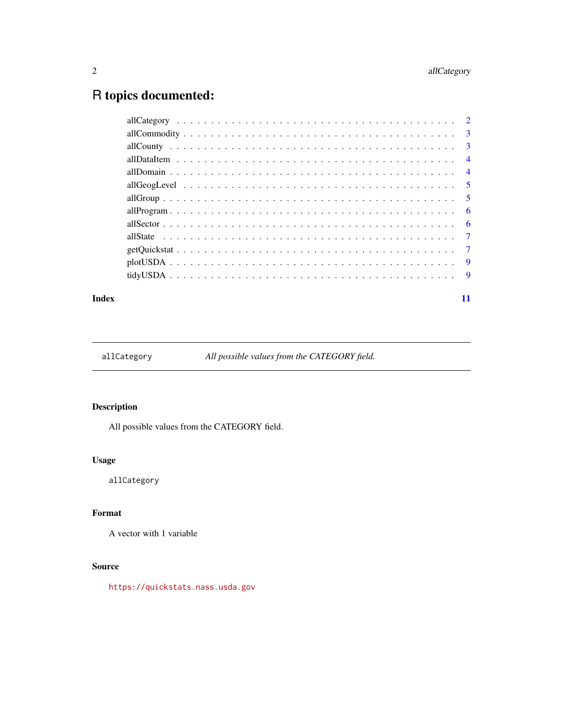# <span id="page-1-0"></span>R topics documented:

|  | - 6 |
|--|-----|
|  |     |
|  |     |
|  |     |
|  |     |
|  |     |

#### **Index** [11](#page-10-0)

allCategory *All possible values from the CATEGORY field.*

# Description

All possible values from the CATEGORY field.

#### Usage

allCategory

## Format

A vector with 1 variable

# Source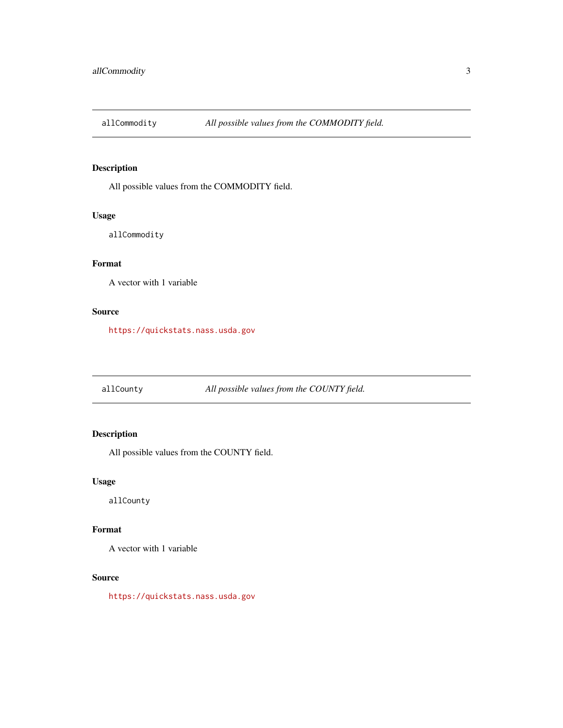<span id="page-2-0"></span>

All possible values from the COMMODITY field.

#### Usage

allCommodity

# Format

A vector with 1 variable

#### Source

<https://quickstats.nass.usda.gov>

allCounty *All possible values from the COUNTY field.*

#### Description

All possible values from the COUNTY field.

#### Usage

allCounty

#### Format

A vector with 1 variable

#### Source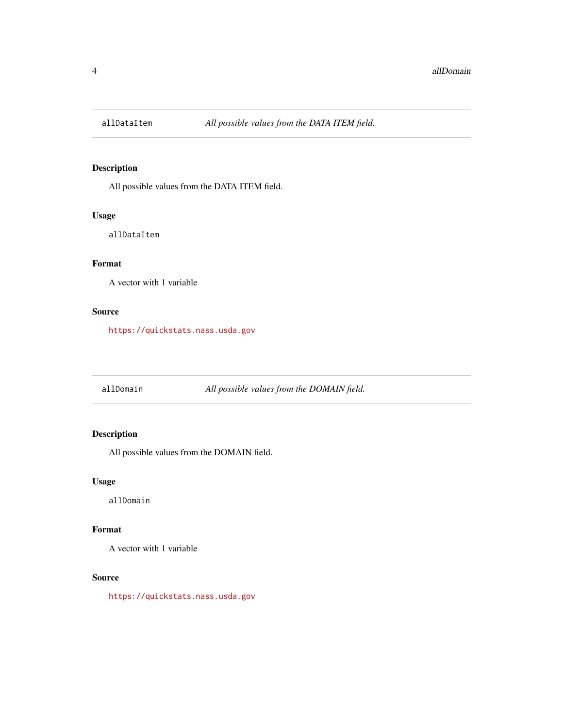<span id="page-3-0"></span>

All possible values from the DATA ITEM field.

#### Usage

allDataItem

# Format

A vector with 1 variable

#### Source

<https://quickstats.nass.usda.gov>

allDomain *All possible values from the DOMAIN field.*

#### Description

All possible values from the DOMAIN field.

#### Usage

allDomain

#### Format

A vector with 1 variable

#### Source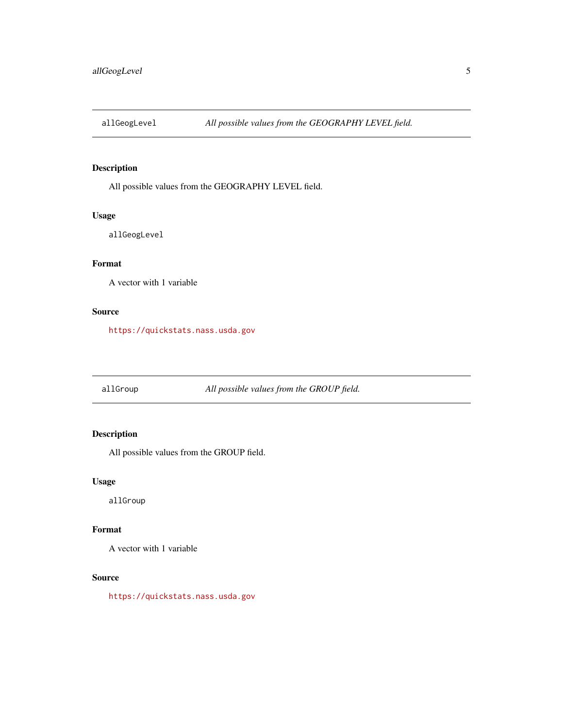<span id="page-4-0"></span>

All possible values from the GEOGRAPHY LEVEL field.

#### Usage

allGeogLevel

# Format

A vector with 1 variable

#### Source

<https://quickstats.nass.usda.gov>

allGroup *All possible values from the GROUP field.*

#### Description

All possible values from the GROUP field.

#### Usage

allGroup

#### Format

A vector with 1 variable

#### Source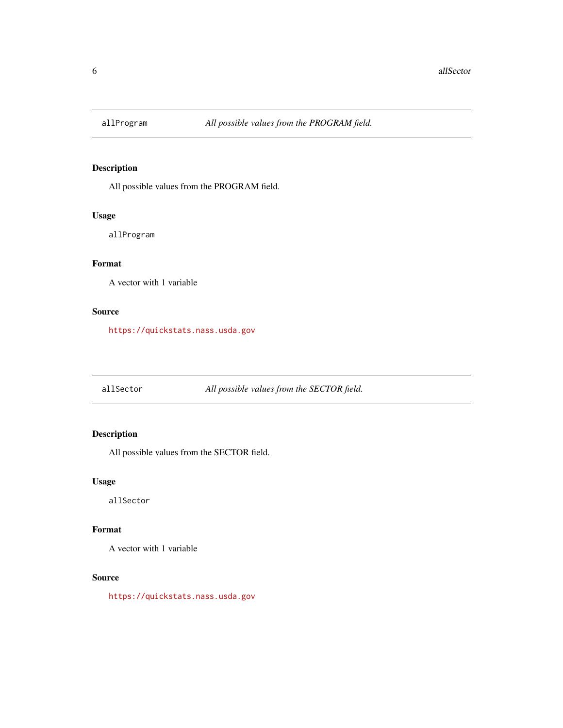<span id="page-5-0"></span>

All possible values from the PROGRAM field.

#### Usage

allProgram

# Format

A vector with 1 variable

#### Source

<https://quickstats.nass.usda.gov>

allSector *All possible values from the SECTOR field.*

#### Description

All possible values from the SECTOR field.

#### Usage

allSector

#### Format

A vector with 1 variable

#### Source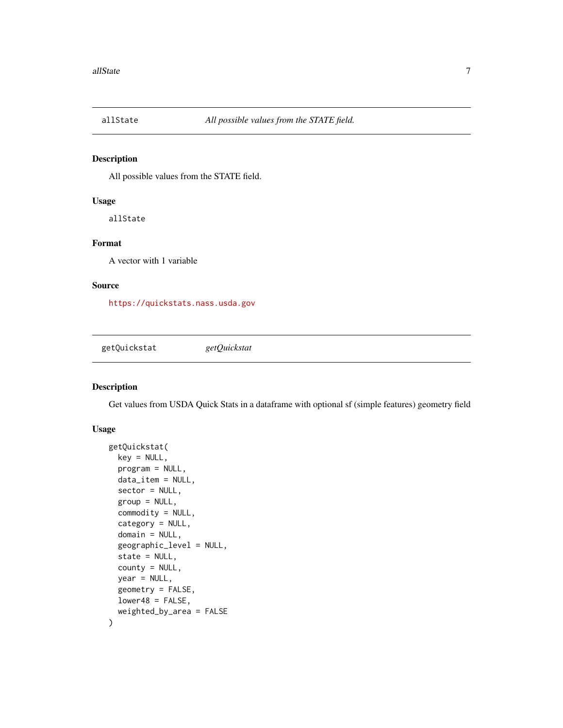<span id="page-6-0"></span>

All possible values from the STATE field.

#### Usage

allState

### Format

A vector with 1 variable

#### Source

<https://quickstats.nass.usda.gov>

getQuickstat *getQuickstat*

#### Description

Get values from USDA Quick Stats in a dataframe with optional sf (simple features) geometry field

#### Usage

```
getQuickstat(
 key = NULL,
 program = NULL,
  data_item = NULL,
  sector = NULL,
  group = NULL,commodity = NULL,
  category = NULL,
  domain = NULL,
  geographic_level = NULL,
  state = NULL,
  county = NULL,
  year = NULL,
  geometry = FALSE,
  lower48 = FALSE,weighted_by_area = FALSE
)
```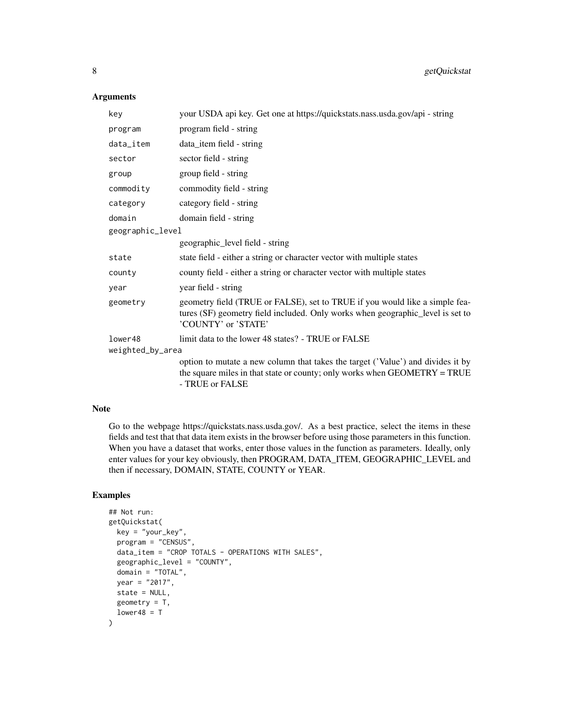#### Arguments

| key              | your USDA api key. Get one at https://quickstats.nass.usda.gov/api - string                                                                                                          |  |  |
|------------------|--------------------------------------------------------------------------------------------------------------------------------------------------------------------------------------|--|--|
| program          | program field - string                                                                                                                                                               |  |  |
| data_item        | data_item field - string                                                                                                                                                             |  |  |
| sector           | sector field - string                                                                                                                                                                |  |  |
| group            | group field - string                                                                                                                                                                 |  |  |
| commodity        | commodity field - string                                                                                                                                                             |  |  |
| category         | category field - string                                                                                                                                                              |  |  |
| domain           | domain field - string                                                                                                                                                                |  |  |
| geographic_level |                                                                                                                                                                                      |  |  |
|                  | geographic_level field - string                                                                                                                                                      |  |  |
| state            | state field - either a string or character vector with multiple states                                                                                                               |  |  |
| county           | county field - either a string or character vector with multiple states                                                                                                              |  |  |
| year             | year field - string                                                                                                                                                                  |  |  |
| geometry         | geometry field (TRUE or FALSE), set to TRUE if you would like a simple fea-<br>tures (SF) geometry field included. Only works when geographic_level is set to<br>'COUNTY' or 'STATE' |  |  |
| lower48          | limit data to the lower 48 states? - TRUE or FALSE                                                                                                                                   |  |  |
| weighted_by_area |                                                                                                                                                                                      |  |  |
|                  | option to mutate a new column that takes the target ('Value') and divides it by<br>the square miles in that state or county; only works when GEOMETRY = TRUE<br>- TRUE or FALSE      |  |  |

#### Note

Go to the webpage https://quickstats.nass.usda.gov/. As a best practice, select the items in these fields and test that that data item exists in the browser before using those parameters in this function. When you have a dataset that works, enter those values in the function as parameters. Ideally, only enter values for your key obviously, then PROGRAM, DATA\_ITEM, GEOGRAPHIC\_LEVEL and then if necessary, DOMAIN, STATE, COUNTY or YEAR.

#### Examples

```
## Not run:
getQuickstat(
  key = "your_key",
  program = "CENSUS",
  data_item = "CROP TOTALS - OPERATIONS WITH SALES",
  geographic_level = "COUNTY",
  domain = "TOTAL",
  year = "2017",
  state = NULL,
  geometry = T,
  lower48 = T)
```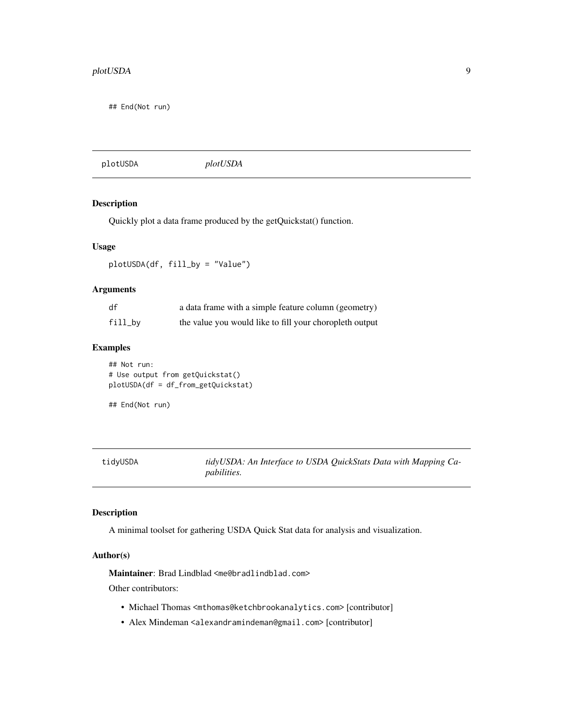<span id="page-8-0"></span>## End(Not run)

| plotUSDA |
|----------|
|----------|

#### Description

Quickly plot a data frame produced by the getQuickstat() function.

#### Usage

plotUSDA(df, fill\_by = "Value")

#### Arguments

| df      | a data frame with a simple feature column (geometry)    |
|---------|---------------------------------------------------------|
| fill_by | the value you would like to fill your choropleth output |

#### Examples

## Not run: # Use output from getQuickstat() plotUSDA(df = df\_from\_getQuickstat)

## End(Not run)

tidyUSDA *tidyUSDA: An Interface to USDA QuickStats Data with Mapping Capabilities.*

#### Description

A minimal toolset for gathering USDA Quick Stat data for analysis and visualization.

#### Author(s)

Maintainer: Brad Lindblad <me@bradlindblad.com>

Other contributors:

- Michael Thomas <mthomas@ketchbrookanalytics.com> [contributor]
- Alex Mindeman <alexandramindeman@gmail.com> [contributor]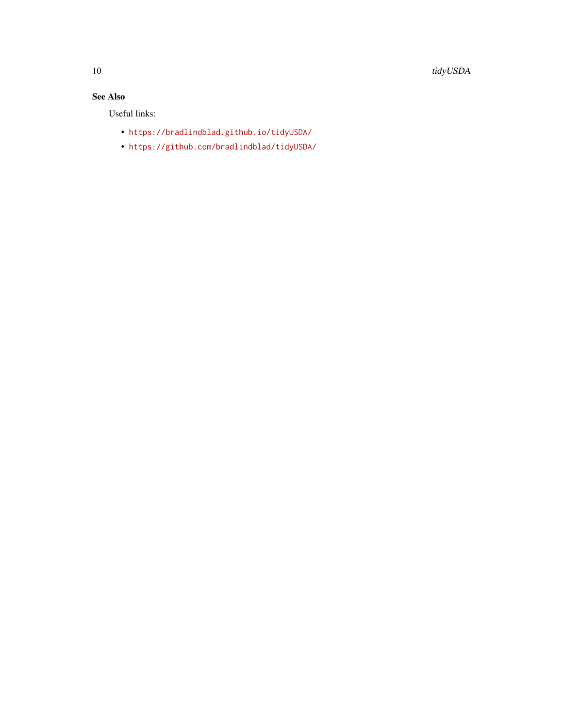# See Also

Useful links:

- <https://bradlindblad.github.io/tidyUSDA/>
- <https://github.com/bradlindblad/tidyUSDA/>